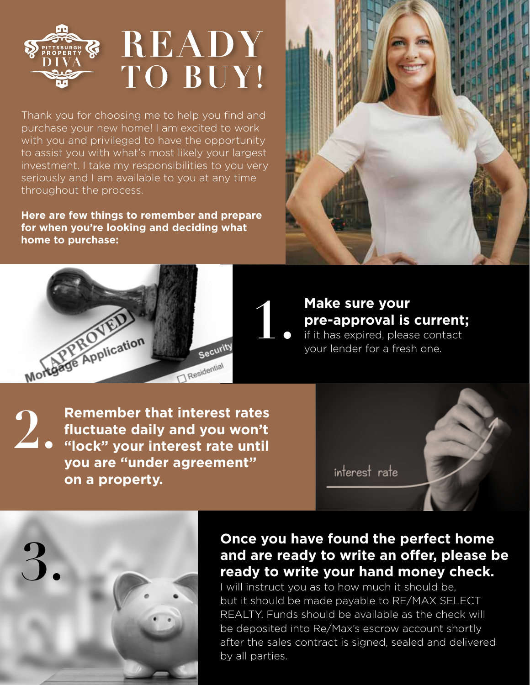## READY  $\mathbb{S}^n$ TO BUY!

Thank you for choosing me to help you find and purchase your new home! I am excited to work with you and privileged to have the opportunity to assist you with what's most likely your largest investment. I take my responsibilities to you very seriously and I am available to you at any time throughout the process.

**Here are few things to remember and prepare for when you're looking and deciding what home to purchase:**





## **Make sure your pre-approval is current;**  if it has expired, please contact **1.**

your lender for a fresh one.

**2. Remember that interest rates<br>
<b>2. fluctuate daily and you won't**<br> **1. e** "lock" your interest rate until **fluctuate daily and you won't "lock" your interest rate until you are "under agreement" on a property.**

interest rate



## **3. Once you have found the perfect home**<br>and are ready to write an offer, please b<br>ready to write you r hand money check. **and are ready to write an offer, please be ready to write your hand money check.**

I will instruct you as to how much it should be, but it should be made payable to RE/MAX SELECT REALTY. Funds should be available as the check will be deposited into Re/Max's escrow account shortly after the sales contract is signed, sealed and delivered by all parties.